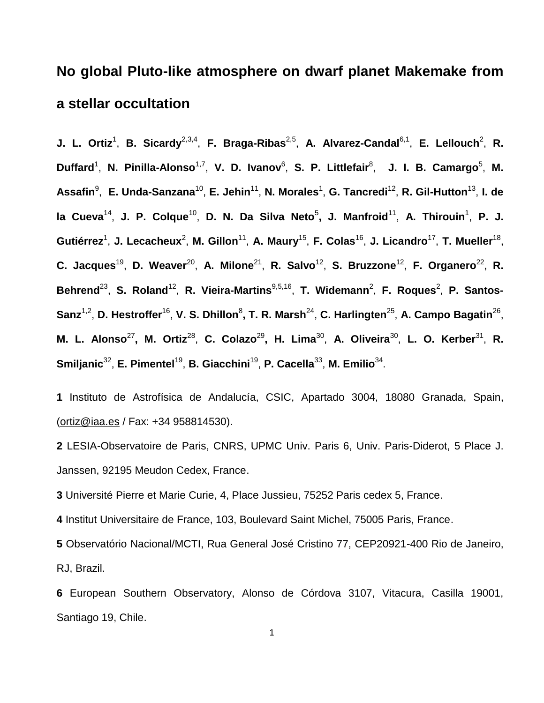# **No global Pluto-like atmosphere on dwarf planet Makemake from a stellar occultation**

**J. L. Ortiz<sup>1</sup>, B. Sicardy<sup>2,3,4</sup>, F. Braga-Ribas<sup>2,5</sup>, A. Alvarez-Candal<sup>6,1</sup>, E. Lellouch<sup>2</sup>, R.** Duffard<sup>1</sup>, N. Pinilla-Alonso<sup>1,7</sup>, V. D. Ivanov<sup>6</sup>, S. P. Littlefair<sup>8</sup>, J. I. B. Camargo<sup>5</sup>, M. Assafin<sup>9</sup>, E. Unda-Sanzana<sup>10</sup>, E. Jehin<sup>11</sup>, N. Morales<sup>1</sup>, G. Tancredi<sup>12</sup>, R. Gil-Hutton<sup>13</sup>, I. de la Cueva<sup>14</sup>, J. P. Colque<sup>10</sup>, D. N. Da Silva Neto<sup>5</sup>, J. Manfroid<sup>11</sup>, A. Thirouin<sup>1</sup>, P. J. Gutiérrez<sup>1</sup>, J. Lecacheux<sup>2</sup>, M. Gillon<sup>11</sup>, A. Maury<sup>15</sup>, F. Colas<sup>16</sup>, J. Licandro<sup>17</sup>, T. Mueller<sup>18</sup>, C. Jacques<sup>19</sup>, D. Weaver<sup>20</sup>, A. Milone<sup>21</sup>, R. Salvo<sup>12</sup>, S. Bruzzone<sup>12</sup>, F. Organero<sup>22</sup>, R. Behrend<sup>23</sup>, S. Roland<sup>12</sup>, R. Vieira-Martins<sup>9,5,16</sup>, T. Widemann<sup>2</sup>, F. Roques<sup>2</sup>, P. Santos-**Sanz**1,2 , **D. Hestroffer**<sup>16</sup> , **V. S. Dhillon**<sup>8</sup> **, T. R. Marsh**<sup>24</sup> , **C. Harlingten**<sup>25</sup> , **A. Campo Bagatin**<sup>26</sup> , **M. L. Alonso<sup>27</sup>, M. Ortiz<sup>28</sup>, C. Colazo<sup>29</sup>, H. Lima<sup>30</sup>, A. Oliveira<sup>30</sup>, L. O. Kerber<sup>31</sup>, R.** Smiljanic<sup>32</sup>, E. Pimentel<sup>19</sup>, B. Giacchini<sup>19</sup>, P. Cacella<sup>33</sup>, M. Emilio<sup>34</sup>.

**1** Instituto de Astrofísica de Andalucía, CSIC, Apartado 3004, 18080 Granada, Spain, [\(ortiz@iaa.es](mailto:ortiz@iaa.es) / Fax: +34 958814530).

**2** LESIA-Observatoire de Paris, CNRS, UPMC Univ. Paris 6, Univ. Paris-Diderot, 5 Place J. Janssen, 92195 Meudon Cedex, France.

**3** Université Pierre et Marie Curie, 4, Place Jussieu, 75252 Paris cedex 5, France.

**4** Institut Universitaire de France, 103, Boulevard Saint Michel, 75005 Paris, France.

**5** Observatório Nacional/MCTI, Rua General José Cristino 77, CEP20921-400 Rio de Janeiro, RJ, Brazil.

**6** European Southern Observatory, Alonso de Córdova 3107, Vitacura, Casilla 19001, Santiago 19, Chile.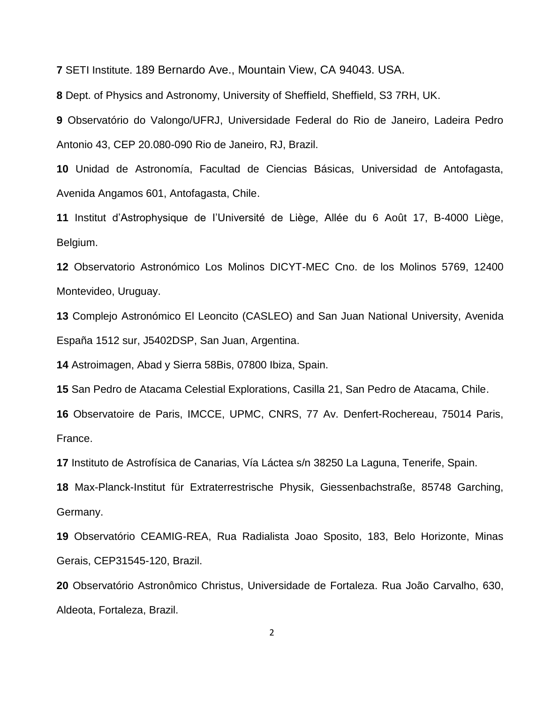SETI Institute. 189 Bernardo Ave., Mountain View, CA 94043. USA.

Dept. of Physics and Astronomy, University of Sheffield, Sheffield, S3 7RH, UK.

 Observatório do Valongo/UFRJ, Universidade Federal do Rio de Janeiro, Ladeira Pedro Antonio 43, CEP 20.080-090 Rio de Janeiro, RJ, Brazil.

 Unidad de Astronomía, Facultad de Ciencias Básicas, Universidad de Antofagasta, Avenida Angamos 601, Antofagasta, Chile.

 Institut d'Astrophysique de I'Université de Liège, Allée du 6 Août 17, B-4000 Liège, Belgium.

 Observatorio Astronómico Los Molinos DICYT-MEC Cno. de los Molinos 5769, 12400 Montevideo, Uruguay.

 Complejo Astronómico El Leoncito (CASLEO) and San Juan National University, Avenida España 1512 sur, J5402DSP, San Juan, Argentina.

Astroimagen, Abad y Sierra 58Bis, 07800 Ibiza, Spain.

San Pedro de Atacama Celestial Explorations, Casilla 21, San Pedro de Atacama, Chile.

 Observatoire de Paris, IMCCE, UPMC, CNRS, 77 Av. Denfert-Rochereau, 75014 Paris, France.

Instituto de Astrofísica de Canarias, Vía Láctea s/n 38250 La Laguna, Tenerife, Spain.

 Max-Planck-Institut für Extraterrestrische Physik, Giessenbachstraße, 85748 Garching, Germany.

 Observatório CEAMIG-REA, Rua Radialista Joao Sposito, 183, Belo Horizonte, Minas Gerais, CEP31545-120, Brazil.

 Observatório Astronômico Christus, Universidade de Fortaleza. Rua João Carvalho, 630, Aldeota, Fortaleza, Brazil.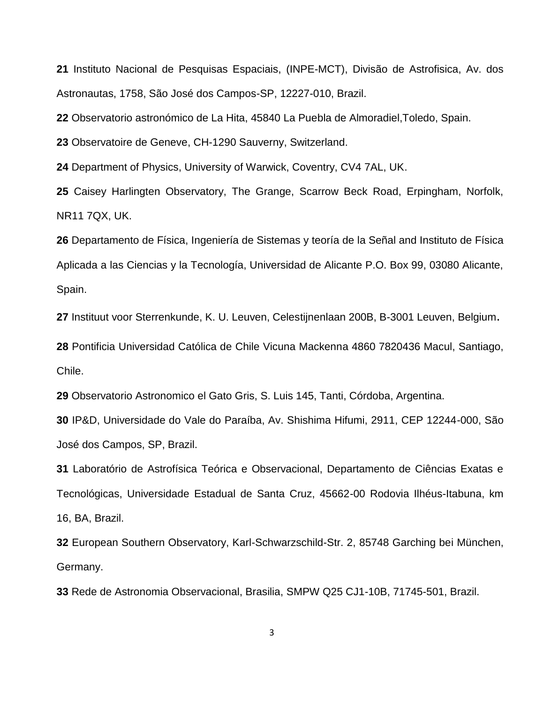Instituto Nacional de Pesquisas Espaciais, (INPE-MCT), Divisão de Astrofisica, Av. dos Astronautas, 1758, São José dos Campos-SP, 12227-010, Brazil.

Observatorio astronómico de La Hita, 45840 La Puebla de Almoradiel,Toledo, Spain.

Observatoire de Geneve, CH-1290 Sauverny, Switzerland.

Department of Physics, University of Warwick, Coventry, CV4 7AL, UK.

 Caisey Harlingten Observatory, The Grange, Scarrow Beck Road, Erpingham, Norfolk, NR11 7QX, UK.

 Departamento de Física, Ingeniería de Sistemas y teoría de la Señal and Instituto de Física Aplicada a las Ciencias y la Tecnología, Universidad de Alicante P.O. Box 99, 03080 Alicante, Spain.

Instituut voor Sterrenkunde, K. U. Leuven, Celestijnenlaan 200B, B-3001 Leuven, Belgium.

 Pontificia Universidad Católica de Chile Vicuna Mackenna 4860 7820436 Macul, Santiago, Chile.

Observatorio Astronomico el Gato Gris, S. Luis 145, Tanti, Córdoba, Argentina.

 IP&D, Universidade do Vale do Paraíba, Av. Shishima Hifumi, 2911, CEP 12244-000, São José dos Campos, SP, Brazil.

 Laboratório de Astrofísica Teórica e Observacional, Departamento de Ciências Exatas e Tecnológicas, Universidade Estadual de Santa Cruz, 45662-00 Rodovia Ilhéus-Itabuna, km 16, BA, Brazil.

 European Southern Observatory, Karl-Schwarzschild-Str. 2, 85748 Garching bei München, Germany.

Rede de Astronomia Observacional, Brasilia, SMPW Q25 CJ1-10B, 71745-501, Brazil.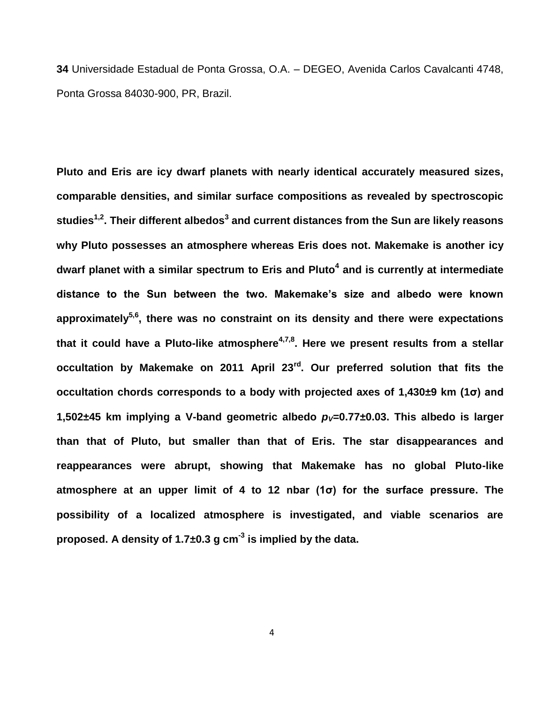**34** Universidade Estadual de Ponta Grossa, O.A. – DEGEO, Avenida Carlos Cavalcanti 4748, Ponta Grossa 84030-900, PR, Brazil.

**Pluto and Eris are icy dwarf planets with nearly identical accurately measured sizes, comparable densities, and similar surface compositions as revealed by spectroscopic studies1,2 . Their different albedos<sup>3</sup> and current distances from the Sun are likely reasons why Pluto possesses an atmosphere whereas Eris does not. Makemake is another icy dwarf planet with a similar spectrum to Eris and Pluto<sup>4</sup> and is currently at intermediate distance to the Sun between the two. Makemake's size and albedo were known approximately5,6 , there was no constraint on its density and there were expectations that it could have a Pluto-like atmosphere4,7,8 . Here we present results from a stellar occultation by Makemake on 2011 April 23rd . Our preferred solution that fits the occultation chords corresponds to a body with projected axes of 1,430±9 km (1σ) and**  1,502 $\pm$ 45 km implying a V-band geometric albedo  $p_y=0.77\pm0.03$ . This albedo is larger **than that of Pluto, but smaller than that of Eris. The star disappearances and reappearances were abrupt, showing that Makemake has no global Pluto-like atmosphere at an upper limit of 4 to 12 nbar (1σ) for the surface pressure. The possibility of a localized atmosphere is investigated, and viable scenarios are proposed. A density of 1.7±0.3 g cm-3 is implied by the data.**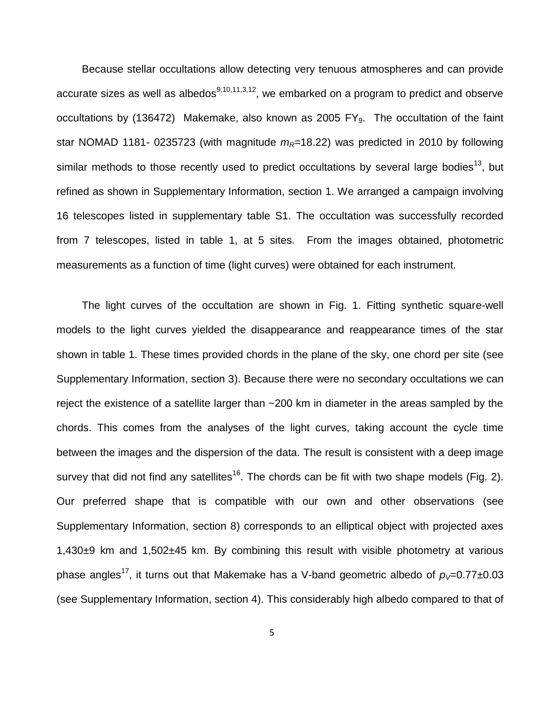Because stellar occultations allow detecting very tenuous atmospheres and can provide accurate sizes as well as albedos<sup>9,10,11,3,12</sup>, we embarked on a program to predict and observe occultations by (136472) Makemake, also known as 2005 FY<sub>9</sub>. The occultation of the faint star NOMAD 1181- 0235723 (with magnitude  $m<sub>R</sub>=18.22$ ) was predicted in 2010 by following similar methods to those recently used to predict occultations by several large bodies<sup>13</sup>, but refined as shown in Supplementary Information, section 1. We arranged a campaign involving 16 telescopes listed in supplementary table S1. The occultation was successfully recorded from 7 telescopes, listed in table 1, at 5 sites. From the images obtained, photometric measurements as a function of time (light curves) were obtained for each instrument.

The light curves of the occultation are shown in Fig. 1. Fitting synthetic square-well models to the light curves yielded the disappearance and reappearance times of the star shown in table 1. These times provided chords in the plane of the sky, one chord per site (see Supplementary Information, section 3). Because there were no secondary occultations we can reject the existence of a satellite larger than ~200 km in diameter in the areas sampled by the chords. This comes from the analyses of the light curves, taking account the cycle time between the images and the dispersion of the data. The result is consistent with a deep image survey that did not find any satellites<sup>16</sup>. The chords can be fit with two shape models (Fig. 2). Our preferred shape that is compatible with our own and other observations (see Supplementary Information, section 8) corresponds to an elliptical object with projected axes 1,430±9 km and 1,502±45 km. By combining this result with visible photometry at various phase angles<sup>17</sup>, it turns out that Makemake has a V-band geometric albedo of  $p_{\vee}=$ 0.77±0.03 (see Supplementary Information, section 4). This considerably high albedo compared to that of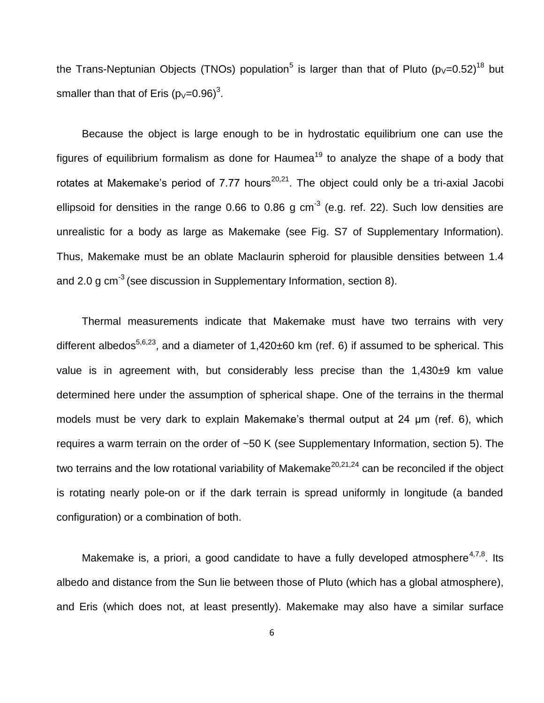the Trans-Neptunian Objects (TNOs) population<sup>5</sup> is larger than that of Pluto (p<sub>V</sub>=0.52)<sup>18</sup> but smaller than that of Eris (p<sub>V</sub>=0.96)<sup>3</sup>.

Because the object is large enough to be in hydrostatic equilibrium one can use the figures of equilibrium formalism as done for Haumea<sup>19</sup> to analyze the shape of a body that rotates at Makemake's period of 7.77 hours<sup>20,21</sup>. The object could only be a tri-axial Jacobi ellipsoid for densities in the range 0.66 to 0.86 g cm<sup>-3</sup> (e.g. ref. 22). Such low densities are unrealistic for a body as large as Makemake (see Fig. S7 of Supplementary Information). Thus, Makemake must be an oblate Maclaurin spheroid for plausible densities between 1.4 and 2.0 g cm<sup>-3</sup> (see discussion in Supplementary Information, section 8).

Thermal measurements indicate that Makemake must have two terrains with very different albedos<sup>5,6,23</sup>, and a diameter of 1,420 $\pm$ 60 km (ref. 6) if assumed to be spherical. This value is in agreement with, but considerably less precise than the 1,430±9 km value determined here under the assumption of spherical shape. One of the terrains in the thermal models must be very dark to explain Makemake's thermal output at 24 µm (ref. 6), which requires a warm terrain on the order of ~50 K (see Supplementary Information, section 5). The two terrains and the low rotational variability of Makemake<sup>20,21,24</sup> can be reconciled if the object is rotating nearly pole-on or if the dark terrain is spread uniformly in longitude (a banded configuration) or a combination of both.

Makemake is, a priori, a good candidate to have a fully developed atmosphere<sup>4,7,8</sup>. Its albedo and distance from the Sun lie between those of Pluto (which has a global atmosphere), and Eris (which does not, at least presently). Makemake may also have a similar surface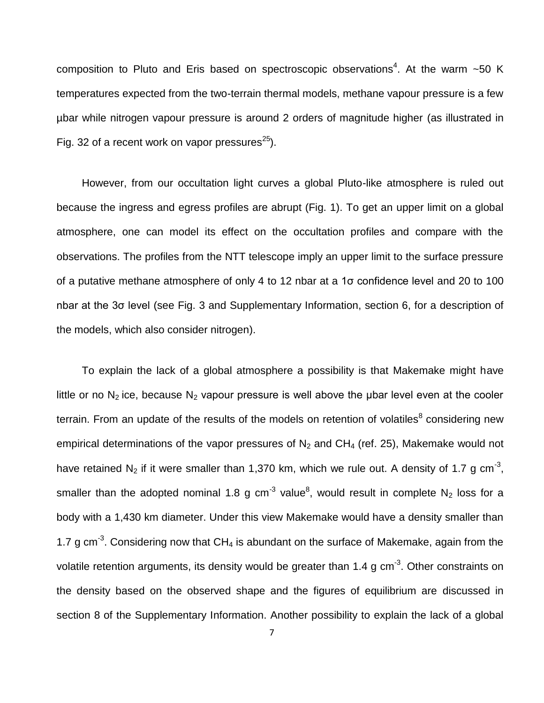composition to Pluto and Eris based on spectroscopic observations<sup>4</sup>. At the warm  $\sim$  50 K temperatures expected from the two-terrain thermal models, methane vapour pressure is a few µbar while nitrogen vapour pressure is around 2 orders of magnitude higher (as illustrated in Fig. 32 of a recent work on vapor pressures $^{25}$ ).

However, from our occultation light curves a global Pluto-like atmosphere is ruled out because the ingress and egress profiles are abrupt (Fig. 1). To get an upper limit on a global atmosphere, one can model its effect on the occultation profiles and compare with the observations. The profiles from the NTT telescope imply an upper limit to the surface pressure of a putative methane atmosphere of only 4 to 12 nbar at a 1σ confidence level and 20 to 100 nbar at the 3σ level (see Fig. 3 and Supplementary Information, section 6, for a description of the models, which also consider nitrogen).

To explain the lack of a global atmosphere a possibility is that Makemake might have little or no  $N_2$  ice, because  $N_2$  vapour pressure is well above the ubar level even at the cooler terrain. From an update of the results of the models on retention of volatiles<sup>8</sup> considering new empirical determinations of the vapor pressures of  $N_2$  and CH<sub>4</sub> (ref. 25), Makemake would not have retained  $N_2$  if it were smaller than 1,370 km, which we rule out. A density of 1.7 g cm<sup>-3</sup>, smaller than the adopted nominal 1.8 g cm<sup>-3</sup> value<sup>8</sup>, would result in complete N<sub>2</sub> loss for a body with a 1,430 km diameter. Under this view Makemake would have a density smaller than 1.7 g cm<sup>-3</sup>. Considering now that CH<sub>4</sub> is abundant on the surface of Makemake, again from the volatile retention arguments, its density would be greater than 1.4 g  $cm^{-3}$ . Other constraints on the density based on the observed shape and the figures of equilibrium are discussed in section 8 of the Supplementary Information. Another possibility to explain the lack of a global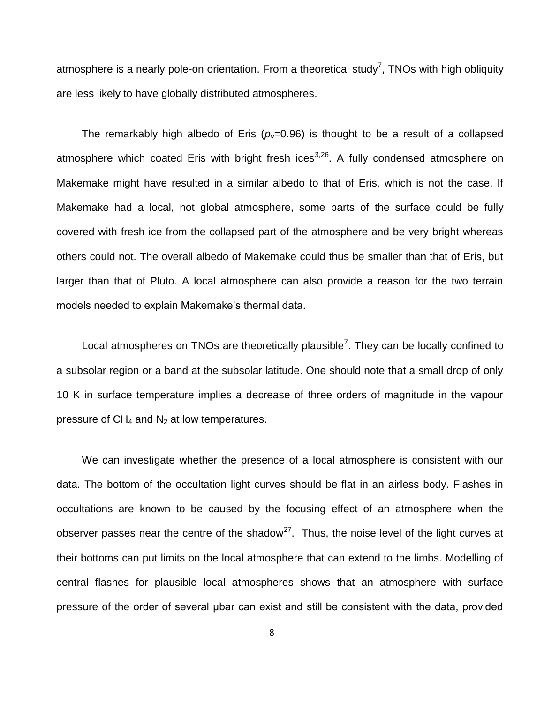atmosphere is a nearly pole-on orientation. From a theoretical study<sup>7</sup>, TNOs with high obliquity are less likely to have globally distributed atmospheres.

The remarkably high albedo of Eris ( $p<sub>v</sub>=0.96$ ) is thought to be a result of a collapsed atmosphere which coated Eris with bright fresh ices<sup>3,26</sup>. A fully condensed atmosphere on Makemake might have resulted in a similar albedo to that of Eris, which is not the case. If Makemake had a local, not global atmosphere, some parts of the surface could be fully covered with fresh ice from the collapsed part of the atmosphere and be very bright whereas others could not. The overall albedo of Makemake could thus be smaller than that of Eris, but larger than that of Pluto. A local atmosphere can also provide a reason for the two terrain models needed to explain Makemake's thermal data.

Local atmospheres on TNOs are theoretically plausible<sup>7</sup>. They can be locally confined to a subsolar region or a band at the subsolar latitude. One should note that a small drop of only 10 K in surface temperature implies a decrease of three orders of magnitude in the vapour pressure of  $CH_4$  and  $N_2$  at low temperatures.

We can investigate whether the presence of a local atmosphere is consistent with our data. The bottom of the occultation light curves should be flat in an airless body. Flashes in occultations are known to be caused by the focusing effect of an atmosphere when the observer passes near the centre of the shadow<sup>27</sup>. Thus, the noise level of the light curves at their bottoms can put limits on the local atmosphere that can extend to the limbs. Modelling of central flashes for plausible local atmospheres shows that an atmosphere with surface pressure of the order of several μbar can exist and still be consistent with the data, provided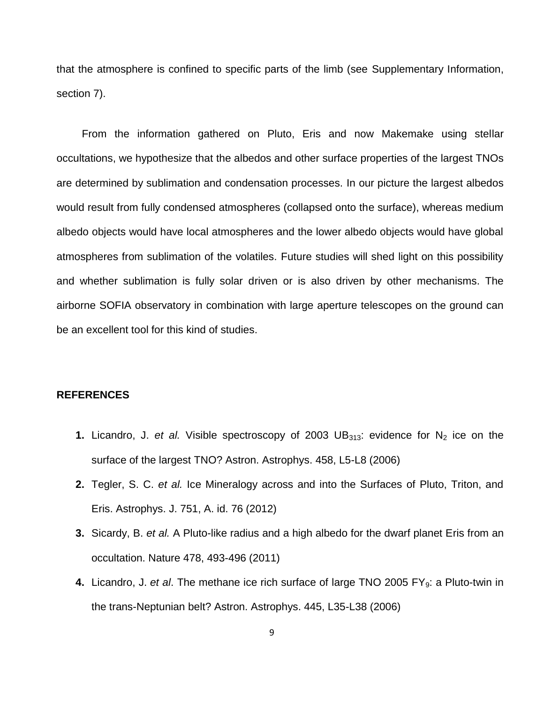that the atmosphere is confined to specific parts of the limb (see Supplementary Information, section 7).

From the information gathered on Pluto, Eris and now Makemake using stellar occultations, we hypothesize that the albedos and other surface properties of the largest TNOs are determined by sublimation and condensation processes. In our picture the largest albedos would result from fully condensed atmospheres (collapsed onto the surface), whereas medium albedo objects would have local atmospheres and the lower albedo objects would have global atmospheres from sublimation of the volatiles. Future studies will shed light on this possibility and whether sublimation is fully solar driven or is also driven by other mechanisms. The airborne SOFIA observatory in combination with large aperture telescopes on the ground can be an excellent tool for this kind of studies.

#### **REFERENCES**

- **1.** Licandro, J. *et al.* Visible spectroscopy of 2003 UB $_{313}$ : evidence for N<sub>2</sub> ice on the surface of the largest TNO? Astron. Astrophys. 458, L5-L8 (2006)
- **2.** Tegler, S. C. *et al.* Ice Mineralogy across and into the Surfaces of Pluto, Triton, and Eris. Astrophys. J. 751, A. id. 76 (2012)
- **3.** Sicardy, B. *et al.* A Pluto-like radius and a high albedo for the dwarf planet Eris from an occultation. Nature 478, 493-496 (2011)
- **4.** Licandro, J. et al. The methane ice rich surface of large TNO 2005 FY<sub>9</sub>: a Pluto-twin in the trans-Neptunian belt? Astron. Astrophys. 445, L35-L38 (2006)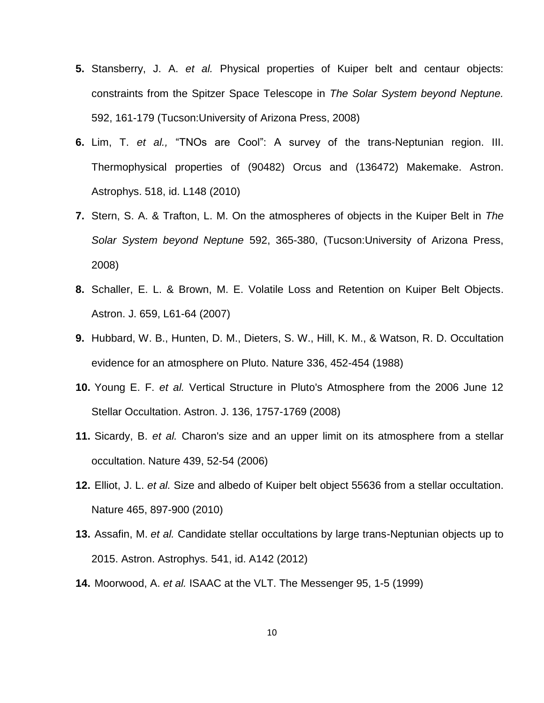- **5.** Stansberry, J. A. *et al.* Physical properties of Kuiper belt and centaur objects: constraints from the Spitzer Space Telescope in *The Solar System beyond Neptune.* 592, 161-179 (Tucson:University of Arizona Press, 2008)
- **6.** Lim, T. *et al.,* "TNOs are Cool": A survey of the trans-Neptunian region. III. Thermophysical properties of (90482) Orcus and (136472) Makemake. Astron. Astrophys. 518, id. L148 (2010)
- **7.** Stern, S. A. & Trafton, L. M. On the atmospheres of objects in the Kuiper Belt in *The Solar System beyond Neptune* 592, 365-380, (Tucson:University of Arizona Press, 2008)
- **8.** Schaller, E. L. & Brown, M. E. Volatile Loss and Retention on Kuiper Belt Objects. Astron. J. 659, L61-64 (2007)
- **9.** Hubbard, W. B., Hunten, D. M., Dieters, S. W., Hill, K. M., & Watson, R. D. Occultation evidence for an atmosphere on Pluto. Nature 336, 452-454 (1988)
- **10.** Young E. F. *et al.* Vertical Structure in Pluto's Atmosphere from the 2006 June 12 Stellar Occultation. Astron. J. 136, 1757-1769 (2008)
- **11.** Sicardy, B. *et al.* Charon's size and an upper limit on its atmosphere from a stellar occultation. Nature 439, 52-54 (2006)
- **12.** Elliot, J. L. *et al.* Size and albedo of Kuiper belt object 55636 from a stellar occultation. Nature 465, 897-900 (2010)
- **13.** Assafin, M. *et al.* Candidate stellar occultations by large trans-Neptunian objects up to 2015. Astron. Astrophys. 541, id. A142 (2012)
- **14.** Moorwood, A. *et al.* ISAAC at the VLT. The Messenger 95, 1-5 (1999)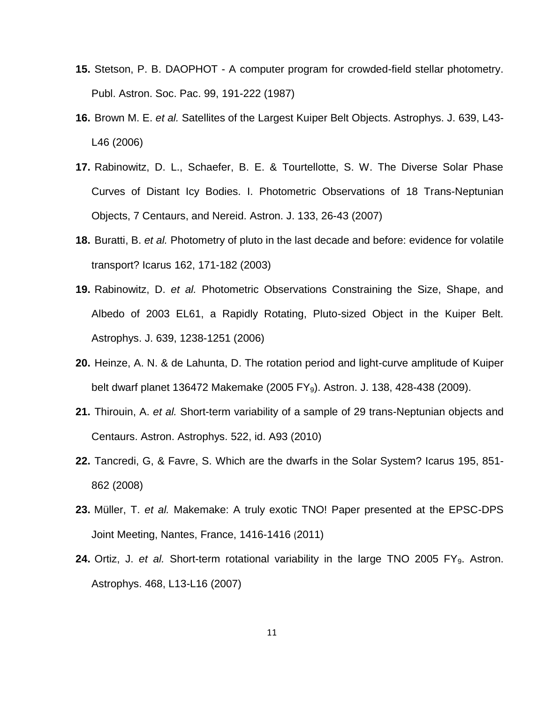- **15.** Stetson, P. B. DAOPHOT A computer program for crowded-field stellar photometry. Publ. Astron. Soc. Pac. 99, 191-222 (1987)
- **16.** Brown M. E. *et al.* Satellites of the Largest Kuiper Belt Objects. Astrophys. J. 639, L43- L46 (2006)
- **17.** Rabinowitz, D. L., Schaefer, B. E. & Tourtellotte, S. W. The Diverse Solar Phase Curves of Distant Icy Bodies. I. Photometric Observations of 18 Trans-Neptunian Objects, 7 Centaurs, and Nereid. Astron. J. 133, 26-43 (2007)
- **18.** Buratti, B. *et al.* Photometry of pluto in the last decade and before: evidence for volatile transport? Icarus 162, 171-182 (2003)
- **19.** Rabinowitz, D. *et al.* Photometric Observations Constraining the Size, Shape, and Albedo of 2003 EL61, a Rapidly Rotating, Pluto-sized Object in the Kuiper Belt. Astrophys. J. 639, 1238-1251 (2006)
- **20.** Heinze, A. N. & de Lahunta, D. The rotation period and light-curve amplitude of Kuiper belt dwarf planet 136472 Makemake (2005 FY<sub>9</sub>). Astron. J. 138, 428-438 (2009).
- **21.** Thirouin, A. *et al.* Short-term variability of a sample of 29 trans-Neptunian objects and Centaurs. Astron. Astrophys. 522, id. A93 (2010)
- **22.** Tancredi, G, & Favre, S. Which are the dwarfs in the Solar System? Icarus 195, 851- 862 (2008)
- **23.** Müller, T. *et al.* Makemake: A truly exotic TNO! Paper presented at the EPSC-DPS Joint Meeting, Nantes, France, 1416-1416 (2011)
- 24. Ortiz, J. *et al.* Short-term rotational variability in the large TNO 2005 FY<sub>9</sub>. Astron. Astrophys. 468, L13-L16 (2007)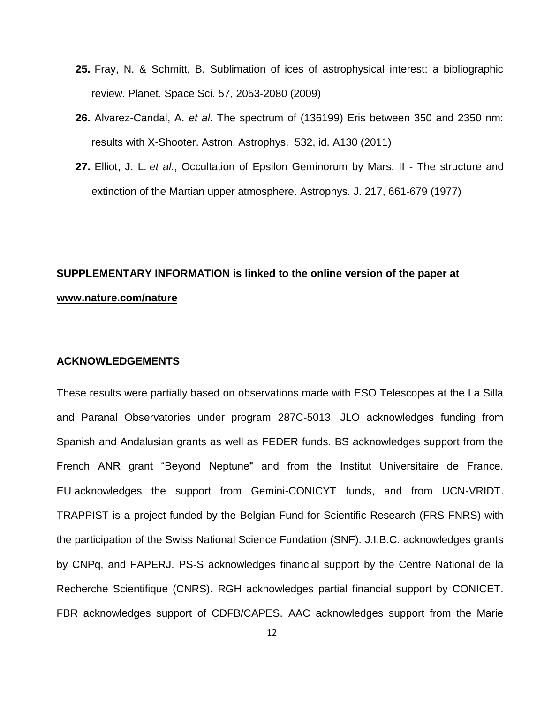- **25.** Fray, N. & Schmitt, B. Sublimation of ices of astrophysical interest: a bibliographic review. Planet. Space Sci. 57, 2053-2080 (2009)
- **26.** Alvarez-Candal, A. *et al.* The spectrum of (136199) Eris between 350 and 2350 nm: results with X-Shooter. Astron. Astrophys. 532, id. A130 (2011)
- **27.** Elliot, J. L. *et al.*, Occultation of Epsilon Geminorum by Mars. II The structure and extinction of the Martian upper atmosphere. Astrophys. J. 217, 661-679 (1977)

# **SUPPLEMENTARY INFORMATION is linked to the online version of the paper at [www.nature.com/nature](http://www.nature.com/nature)**

## **ACKNOWLEDGEMENTS**

These results were partially based on observations made with ESO Telescopes at the La Silla and Paranal Observatories under program 287C-5013. JLO acknowledges funding from Spanish and Andalusian grants as well as FEDER funds. BS acknowledges support from the French ANR grant "Beyond Neptune" and from the Institut Universitaire de France. EU acknowledges the support from Gemini-CONICYT funds, and from UCN-VRIDT. TRAPPIST is a project funded by the Belgian Fund for Scientific Research (FRS-FNRS) with the participation of the Swiss National Science Fundation (SNF). J.I.B.C. acknowledges grants by CNPq, and FAPERJ. PS-S acknowledges financial support by the Centre National de la Recherche Scientifique (CNRS). RGH acknowledges partial financial support by CONICET. FBR acknowledges support of CDFB/CAPES. AAC acknowledges support from the Marie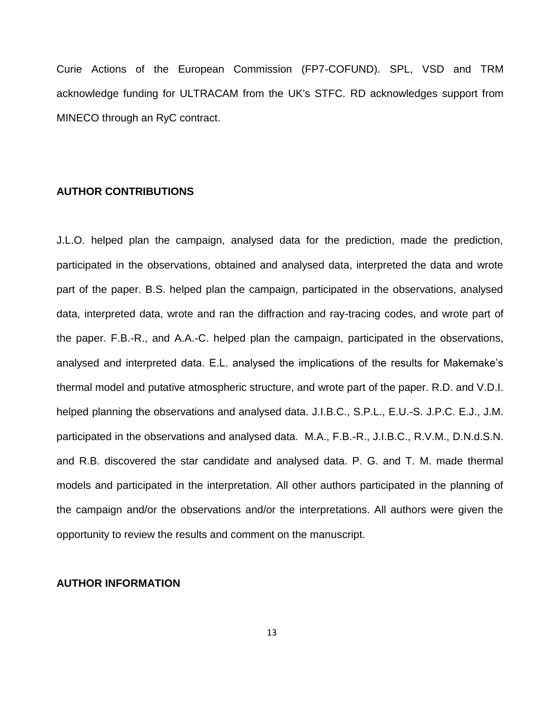Curie Actions of the European Commission (FP7-COFUND). SPL, VSD and TRM acknowledge funding for ULTRACAM from the UK's STFC. RD acknowledges support from MINECO through an RyC contract.

### **AUTHOR CONTRIBUTIONS**

J.L.O. helped plan the campaign, analysed data for the prediction, made the prediction, participated in the observations, obtained and analysed data, interpreted the data and wrote part of the paper. B.S. helped plan the campaign, participated in the observations, analysed data, interpreted data, wrote and ran the diffraction and ray-tracing codes, and wrote part of the paper. F.B.-R., and A.A.-C. helped plan the campaign, participated in the observations, analysed and interpreted data. E.L. analysed the implications of the results for Makemake's thermal model and putative atmospheric structure, and wrote part of the paper. R.D. and V.D.I. helped planning the observations and analysed data. J.I.B.C., S.P.L., E.U.-S. J.P.C. E.J., J.M. participated in the observations and analysed data. M.A., F.B.-R., J.I.B.C., R.V.M., D.N.d.S.N. and R.B. discovered the star candidate and analysed data. P. G. and T. M. made thermal models and participated in the interpretation. All other authors participated in the planning of the campaign and/or the observations and/or the interpretations. All authors were given the opportunity to review the results and comment on the manuscript.

#### **AUTHOR INFORMATION**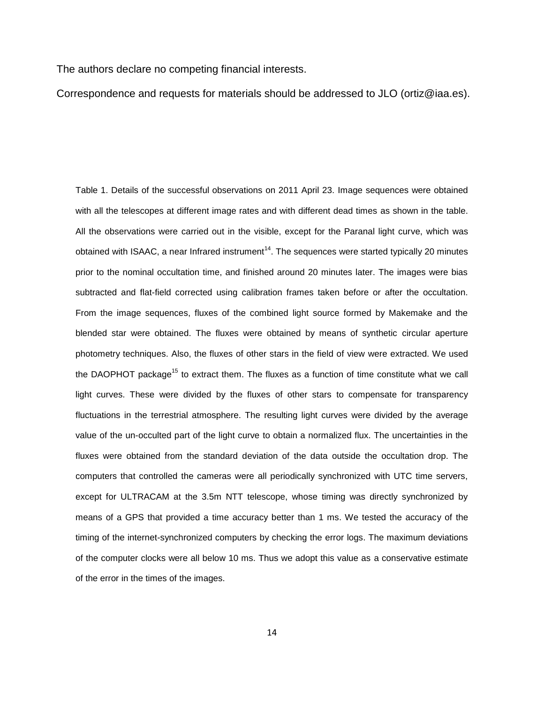The authors declare no competing financial interests.

Correspondence and requests for materials should be addressed to JLO (ortiz@iaa.es).

Table 1. Details of the successful observations on 2011 April 23. Image sequences were obtained with all the telescopes at different image rates and with different dead times as shown in the table. All the observations were carried out in the visible, except for the Paranal light curve, which was obtained with ISAAC, a near Infrared instrument<sup>14</sup>. The sequences were started typically 20 minutes prior to the nominal occultation time, and finished around 20 minutes later. The images were bias subtracted and flat-field corrected using calibration frames taken before or after the occultation. From the image sequences, fluxes of the combined light source formed by Makemake and the blended star were obtained. The fluxes were obtained by means of synthetic circular aperture photometry techniques. Also, the fluxes of other stars in the field of view were extracted. We used the DAOPHOT package<sup>15</sup> to extract them. The fluxes as a function of time constitute what we call light curves. These were divided by the fluxes of other stars to compensate for transparency fluctuations in the terrestrial atmosphere. The resulting light curves were divided by the average value of the un-occulted part of the light curve to obtain a normalized flux. The uncertainties in the fluxes were obtained from the standard deviation of the data outside the occultation drop. The computers that controlled the cameras were all periodically synchronized with UTC time servers, except for ULTRACAM at the 3.5m NTT telescope, whose timing was directly synchronized by means of a GPS that provided a time accuracy better than 1 ms. We tested the accuracy of the timing of the internet-synchronized computers by checking the error logs. The maximum deviations of the computer clocks were all below 10 ms. Thus we adopt this value as a conservative estimate of the error in the times of the images.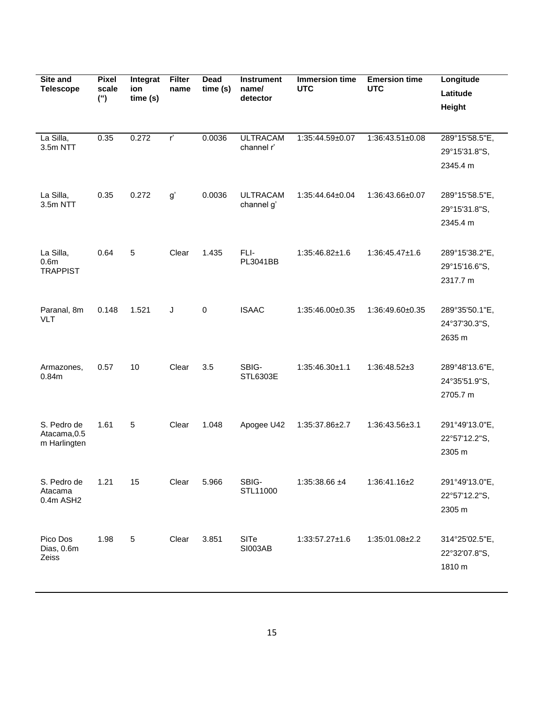| Site and<br><b>Telescope</b>                     | <b>Pixel</b><br>scale<br>$($ ") | Integrat<br>ion<br>time (s) | <b>Filter</b><br>name | Dead<br>time(s) | <b>Instrument</b><br>name/<br>detector | <b>Immersion time</b><br><b>UTC</b> | <b>Emersion time</b><br><b>UTC</b> | Longitude<br>Latitude<br>Height             |
|--------------------------------------------------|---------------------------------|-----------------------------|-----------------------|-----------------|----------------------------------------|-------------------------------------|------------------------------------|---------------------------------------------|
| La Silla,<br>3.5m NTT                            | 0.35                            | 0.272                       | $r^{\prime}$          | 0.0036          | <b>ULTRACAM</b><br>channel r'          | 1:35:44.59±0.07                     | 1:36:43.51±0.08                    | 289°15'58.5"E,<br>29°15'31.8"S,<br>2345.4 m |
| La Silla,<br>3.5m NTT                            | 0.35                            | 0.272                       | g'                    | 0.0036          | <b>ULTRACAM</b><br>channel g'          | 1:35:44.64±0.04                     | 1:36:43.66±0.07                    | 289°15'58.5"E,<br>29°15'31.8"S,<br>2345.4 m |
| La Silla,<br>0.6 <sub>m</sub><br><b>TRAPPIST</b> | 0.64                            | 5                           | Clear                 | 1.435           | FLI-<br>PL3041BB                       | $1:35:46.82\pm1.6$                  | $1:36:45.47\pm1.6$                 | 289°15'38.2"E,<br>29°15'16.6"S,<br>2317.7 m |
| Paranal, 8m<br><b>VLT</b>                        | 0.148                           | 1.521                       | J                     | 0               | <b>ISAAC</b>                           | 1:35:46.00±0.35                     | 1:36:49.60±0.35                    | 289°35'50.1"E,<br>24°37'30.3"S,<br>2635 m   |
| Armazones,<br>0.84m                              | 0.57                            | 10                          | Clear                 | 3.5             | SBIG-<br>STL6303E                      | $1:35:46.30\pm1.1$                  | 1:36:48.52±3                       | 289°48'13.6"E,<br>24°35'51.9"S,<br>2705.7 m |
| S. Pedro de<br>Atacama, 0.5<br>m Harlingten      | 1.61                            | 5                           | Clear                 | 1.048           | Apogee U42                             | 1:35:37.86±2.7                      | 1:36:43.56±3.1                     | 291°49'13.0"E,<br>22°57'12.2"S,<br>2305 m   |
| S. Pedro de<br>Atacama<br>0.4m ASH2              | 1.21                            | 15                          | Clear                 | 5.966           | SBIG-<br>STL11000                      | $1:35:38.66 \pm 4$                  | 1:36:41.16±2                       | 291°49'13.0"E,<br>22°57'12.2"S,<br>2305 m   |
| Pico Dos<br>Dias, 0.6m<br>Zeiss                  | 1.98                            | $\sqrt{5}$                  | Clear                 | 3.851           | SITe<br><b>SI003AB</b>                 | $1:33:57.27 \pm 1.6$                | 1:35:01.08±2.2                     | 314°25'02.5"E,<br>22°32'07.8"S,<br>1810 m   |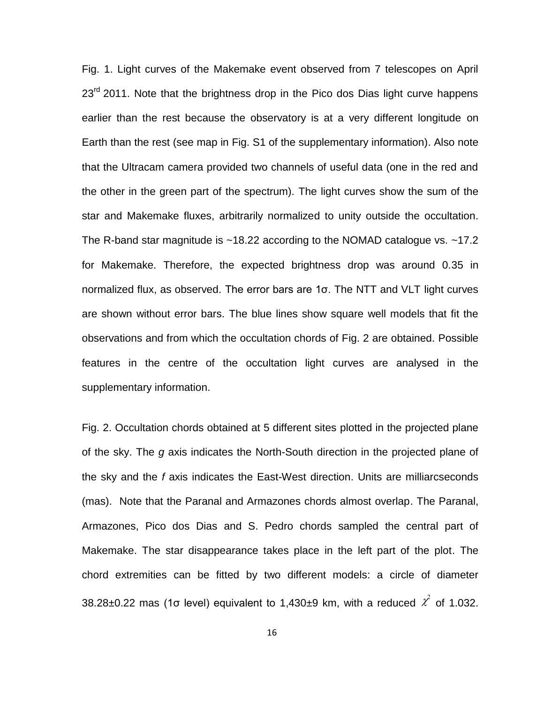Fig. 1. Light curves of the Makemake event observed from 7 telescopes on April  $23<sup>rd</sup>$  2011. Note that the brightness drop in the Pico dos Dias light curve happens earlier than the rest because the observatory is at a very different longitude on Earth than the rest (see map in Fig. S1 of the supplementary information). Also note that the Ultracam camera provided two channels of useful data (one in the red and the other in the green part of the spectrum). The light curves show the sum of the star and Makemake fluxes, arbitrarily normalized to unity outside the occultation. The R-band star magnitude is ~18.22 according to the NOMAD catalogue vs. ~17.2 for Makemake. Therefore, the expected brightness drop was around 0.35 in normalized flux, as observed. The error bars are 1σ. The NTT and VLT light curves are shown without error bars. The blue lines show square well models that fit the observations and from which the occultation chords of Fig. 2 are obtained. Possible features in the centre of the occultation light curves are analysed in the supplementary information.

Fig. 2. Occultation chords obtained at 5 different sites plotted in the projected plane of the sky. The *g* axis indicates the North-South direction in the projected plane of the sky and the *f* axis indicates the East-West direction. Units are milliarcseconds (mas). Note that the Paranal and Armazones chords almost overlap. The Paranal, Armazones, Pico dos Dias and S. Pedro chords sampled the central part of Makemake. The star disappearance takes place in the left part of the plot. The chord extremities can be fitted by two different models: a circle of diameter 38.28±0.22 mas (1 $\sigma$  level) equivalent to 1,430±9 km, with a reduced  $\chi^2$  of 1.032.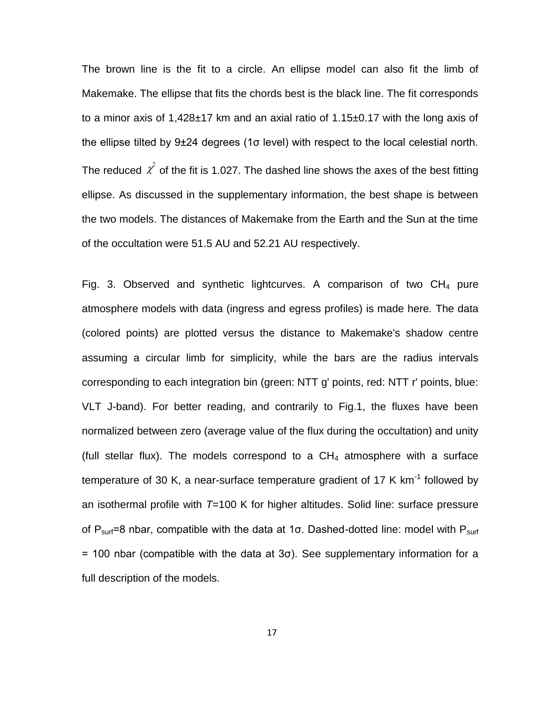The brown line is the fit to a circle. An ellipse model can also fit the limb of Makemake. The ellipse that fits the chords best is the black line. The fit corresponds to a minor axis of 1,428±17 km and an axial ratio of 1.15±0.17 with the long axis of the ellipse tilted by 9±24 degrees (1σ level) with respect to the local celestial north. The reduced  $\chi^2$  of the fit is 1.027. The dashed line shows the axes of the best fitting the two models. The distances of Makemake from the Earth and the Sun at the time ellipse. As discussed in the supplementary information, the best shape is between of the occultation were 51.5 AU and 52.21 AU respectively.

Fig. 3. Observed and synthetic lightcurves. A comparison of two  $CH_4$  pure atmosphere models with data (ingress and egress profiles) is made here. The data (colored points) are plotted versus the distance to Makemake's shadow centre assuming a circular limb for simplicity, while the bars are the radius intervals corresponding to each integration bin (green: NTT g' points, red: NTT r' points, blue: VLT J-band). For better reading, and contrarily to Fig.1, the fluxes have been normalized between zero (average value of the flux during the occultation) and unity (full stellar flux). The models correspond to a  $CH<sub>4</sub>$  atmosphere with a surface temperature of 30 K, a near-surface temperature gradient of 17 K  $km^{-1}$  followed by an isothermal profile with *T*=100 K for higher altitudes. Solid line: surface pressure of  $P_{surf}=8$  nbar, compatible with the data at 1 $\sigma$ . Dashed-dotted line: model with  $P_{surf}$  $=$  100 nbar (compatible with the data at 3 $\sigma$ ). See supplementary information for a full description of the models.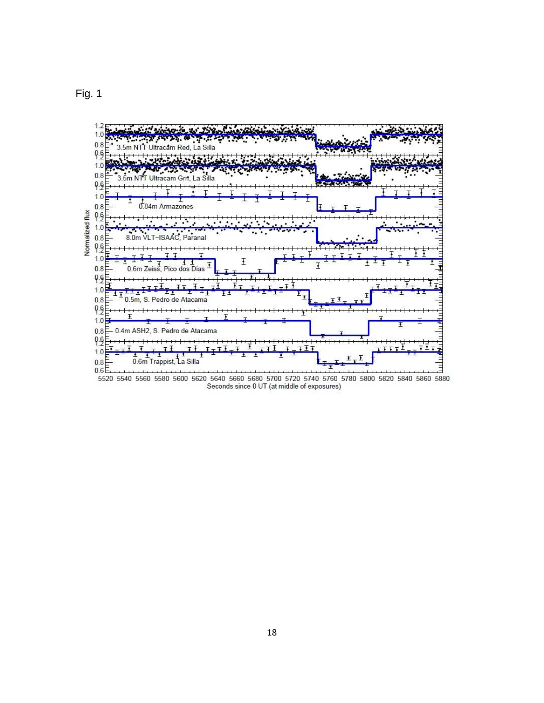



5520 5540 5560 5580 5600 5620 5640 5660 5680 5700 5720 5740 5760 5780 5800 5820 5840 5860 5880 Seconds since 0 UT (at middle of exposures)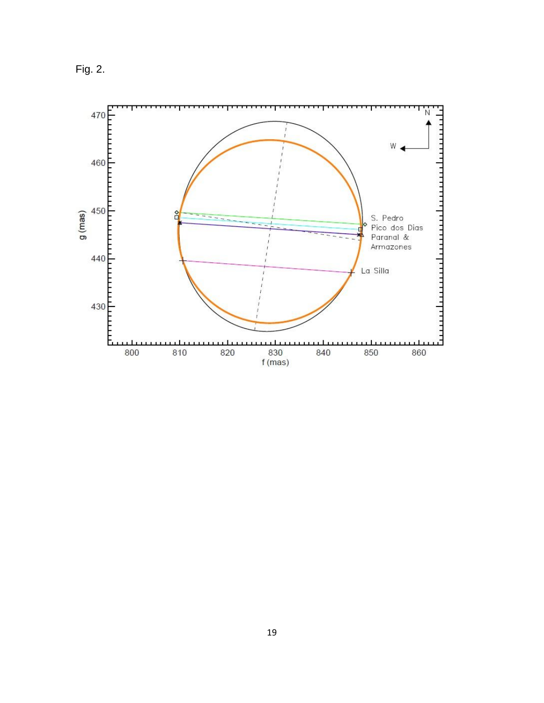Fig. 2.